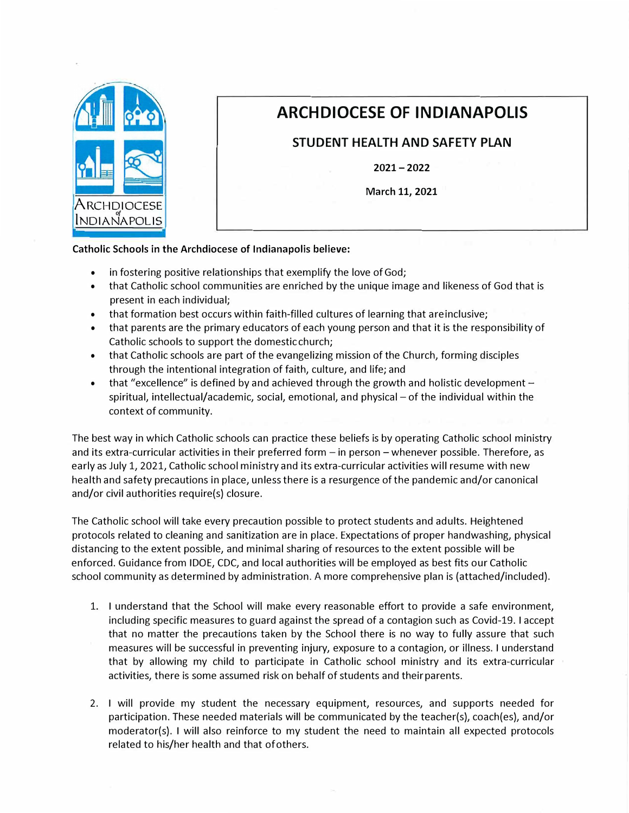

## **ARCH DIOCESE OF INDIANAPOLIS**

**STUDENT HEALTH AND SAFETY PLAN** 

**2021-2022** 

**March 11, 2021** 

**Catholic Schools** in **the Archdiocese of Indianapolis believe:** 

- •in fostering positive relationships that exemplify the love of God;
- • that Catholic school communities are enriched by the unique image and likeness of God that is present in each individual;
- •that formation best occurs within faith-filled cultures of learning that are inclusive;
- • that parents are the primary educators of each young person and that it is the responsibility of Catholic schools to support the domestic church;
- $\bullet$  that Catholic schools are part of the evangelizing mission of the Church, forming disciples through the intentional integration of faith, culture, and life; and
- •that "excellence" is defined by and achieved through the growth and holistic development spiritual, intellectual/academic, social, emotional, and physical - of the individual within the context of community.

The best way in which Catholic schools can practice these beliefs is by operating Catholic school ministry and its extra-curricular activities in their preferred form - in person - whenever possible. Therefore, as early as July 1, 2021, Catholic school ministry and its extra-curricular activities will resume with new health and safety precautions in place, unless there is a resurgence of the pandemic and/or canonical and/or civil authorities require(s) closure.

The Catholic school will take every precaution possible to protect students and adults. Heightened protocols related to cleaning and sanitization are in place. Expectations of proper handwashing, physical distancing to the extent possible, and minimal sharing of resources to the extent possible will be enforced. Guidance from IDOE, CDC, and local authorities will be employed as best fits our Catholic school community as determined by administration. A more comprehensive plan is (attached/included).

- 1. I understand that the School will make every reasonable effort to provide a safe environment, including specific measures to guard against the spread of a contagion such as Covid-19. I accept that no matter the precautions taken by the School there is no way to fully assure that such measures will be successful in preventing injury, exposure to a contagion, or illness. I understand that by allowing my child to participate in Catholic school ministry and its extra-curricular activities, there is some assumed risk on behalf of students and their parents.
- 2. I will provide my student the necessary equipment, resources, and supports needed for participation. These needed materials will be communicated by the teacher(s), coach(es), and/or moderator(s). I will also reinforce to my student the need to maintain all expected protocols related to his/her health and that ofothers.